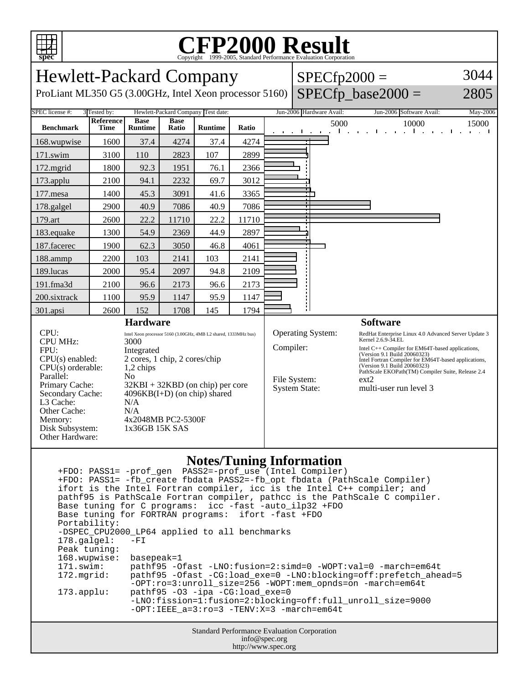

## **CFP2000 Result** Copyright ©1999-2005, Standard Performance Evaluation Corporation

| <b>Hewlett-Packard Company</b><br>ProLiant ML350 G5 (3.00GHz, Intel Xeon processor 5160)                                                                                                                     |                   |                                                                                                                                                                                                                                                                                     |                      |                |       | $SPECfp2000 =$  | $SPECfp\_base2000 =$                                                                                                                                                                                                                                                                                                                                                                                             | 3044<br>2805                                              |                              |
|--------------------------------------------------------------------------------------------------------------------------------------------------------------------------------------------------------------|-------------------|-------------------------------------------------------------------------------------------------------------------------------------------------------------------------------------------------------------------------------------------------------------------------------------|----------------------|----------------|-------|-----------------|------------------------------------------------------------------------------------------------------------------------------------------------------------------------------------------------------------------------------------------------------------------------------------------------------------------------------------------------------------------------------------------------------------------|-----------------------------------------------------------|------------------------------|
| SPEC license #:<br>Hewlett-Packard Company Test date:<br>3 Tested by:                                                                                                                                        |                   |                                                                                                                                                                                                                                                                                     |                      |                |       |                 | Jun-2006 Hardware Avail:                                                                                                                                                                                                                                                                                                                                                                                         | Jun-2006 Software Avail:                                  | May-2006                     |
| <b>Benchmark</b>                                                                                                                                                                                             | Reference<br>Time | <b>Base</b><br><b>Runtime</b>                                                                                                                                                                                                                                                       | <b>Base</b><br>Ratio | <b>Runtime</b> | Ratio |                 | 5000<br>$\mathbf{1}$ and $\mathbf{1}$<br>and the contract of the contract of                                                                                                                                                                                                                                                                                                                                     | 10000<br>and the contract of the contract of<br>$\sim$ 1. | 15000<br>the contract of the |
| 168.wupwise                                                                                                                                                                                                  | 1600              | 37.4                                                                                                                                                                                                                                                                                | 4274                 | 37.4           | 4274  |                 |                                                                                                                                                                                                                                                                                                                                                                                                                  |                                                           |                              |
| 171.swim                                                                                                                                                                                                     | 3100              | 110                                                                                                                                                                                                                                                                                 | 2823                 | 107            | 2899  |                 |                                                                                                                                                                                                                                                                                                                                                                                                                  |                                                           |                              |
| 172.mgrid                                                                                                                                                                                                    | 1800              | 92.3                                                                                                                                                                                                                                                                                | 1951                 | 76.1           | 2366  |                 |                                                                                                                                                                                                                                                                                                                                                                                                                  |                                                           |                              |
| 173.applu                                                                                                                                                                                                    | 2100              | 94.1                                                                                                                                                                                                                                                                                | 2232                 | 69.7           | 3012  |                 |                                                                                                                                                                                                                                                                                                                                                                                                                  |                                                           |                              |
| 177.mesa                                                                                                                                                                                                     | 1400              | 45.3                                                                                                                                                                                                                                                                                | 3091                 | 41.6           | 3365  |                 |                                                                                                                                                                                                                                                                                                                                                                                                                  |                                                           |                              |
| 178.galgel                                                                                                                                                                                                   | 2900              | 40.9                                                                                                                                                                                                                                                                                | 7086                 | 40.9           | 7086  |                 |                                                                                                                                                                                                                                                                                                                                                                                                                  |                                                           |                              |
| 179.art                                                                                                                                                                                                      | 2600              | 22.2                                                                                                                                                                                                                                                                                | 11710                | 22.2           | 11710 |                 |                                                                                                                                                                                                                                                                                                                                                                                                                  |                                                           |                              |
| 183.equake                                                                                                                                                                                                   | 1300              | 54.9                                                                                                                                                                                                                                                                                | 2369                 | 44.9           | 2897  |                 |                                                                                                                                                                                                                                                                                                                                                                                                                  |                                                           |                              |
| 187.facerec                                                                                                                                                                                                  | 1900              | 62.3                                                                                                                                                                                                                                                                                | 3050                 | 46.8           | 4061  |                 |                                                                                                                                                                                                                                                                                                                                                                                                                  |                                                           |                              |
| 188.ammp                                                                                                                                                                                                     | 2200              | 103                                                                                                                                                                                                                                                                                 | 2141                 | 103            | 2141  |                 |                                                                                                                                                                                                                                                                                                                                                                                                                  |                                                           |                              |
| 189.lucas                                                                                                                                                                                                    | 2000              | 95.4                                                                                                                                                                                                                                                                                | 2097                 | 94.8           | 2109  |                 |                                                                                                                                                                                                                                                                                                                                                                                                                  |                                                           |                              |
| 191.fma3d                                                                                                                                                                                                    | 2100              | 96.6                                                                                                                                                                                                                                                                                | 2173                 | 96.6           | 2173  |                 |                                                                                                                                                                                                                                                                                                                                                                                                                  |                                                           |                              |
| 200.sixtrack                                                                                                                                                                                                 | 1100              | 95.9                                                                                                                                                                                                                                                                                | 1147                 | 95.9           | 1147  |                 |                                                                                                                                                                                                                                                                                                                                                                                                                  |                                                           |                              |
| 301.apsi                                                                                                                                                                                                     | 2600              | 152                                                                                                                                                                                                                                                                                 | 1708                 | 145            | 1794  |                 | Н                                                                                                                                                                                                                                                                                                                                                                                                                |                                                           |                              |
| <b>Hardware</b>                                                                                                                                                                                              |                   |                                                                                                                                                                                                                                                                                     |                      |                |       | <b>Software</b> |                                                                                                                                                                                                                                                                                                                                                                                                                  |                                                           |                              |
| CPU:<br><b>CPU MHz:</b><br>FPU:<br>$CPU(s)$ enabled:<br>$CPU(s)$ orderable:<br>Parallel:<br>Primary Cache:<br>Secondary Cache:<br>L3 Cache:<br>Other Cache:<br>Memory:<br>Disk Subsystem:<br>Other Hardware: |                   | Intel Xeon processor 5160 (3.00GHz, 4MB L2 shared, 1333MHz bus)<br>3000<br>Integrated<br>2 cores, 1 chip, 2 cores/chip<br>1,2 chips<br>N <sub>0</sub><br>$32KBI + 32KBD$ (on chip) per core<br>$4096KB(I+D)$ (on chip) shared<br>N/A<br>N/A<br>4x2048MB PC2-5300F<br>1x36GB 15K SAS |                      |                |       |                 | Operating System:<br>RedHat Enterprise Linux 4.0 Advanced Server Update 3<br>Kernel 2.6.9-34.EL<br>Compiler:<br>Intel C++ Compiler for EM64T-based applications,<br>(Version 9.1 Build 20060323)<br>Intel Fortran Compiler for EM64T-based applications,<br>(Version 9.1 Build 20060323)<br>PathScale EKOPath(TM) Compiler Suite, Release 2.4<br>File System:<br>ext2<br>System State:<br>multi-user run level 3 |                                                           |                              |

## **Notes/Tuning Information**

Standard Performance Evaluation Corporation +FDO: PASS1= -prof\_gen PASS2=-prof\_use (Intel Compiler) +FDO: PASS1= -fb\_create fbdata PASS2=-fb\_opt fbdata (PathScale Compiler) ifort is the Intel Fortran compiler, icc is the Intel C++ compiler; and pathf95 is PathScale Fortran compiler, pathcc is the PathScale C compiler. Base tuning for C programs: icc -fast -auto\_ilp32 +FDO Base tuning for FORTRAN programs: ifort -fast +FDO Portability: -DSPEC\_CPU2000\_LP64 applied to all benchmarks<br>178.galgel: -FI  $178.galgel:$  Peak tuning: 168.wupwise: basepeak=1 171.swim: pathf95 -Ofast -LNO:fusion=2:simd=0 -WOPT:val=0 -march=em64t 172.mgrid: pathf95 -Ofast -CG:load\_exe=0 -LNO:blocking=off:prefetch\_ahead=5 -OPT:ro=3:unroll\_size=256 -WOPT:mem\_opnds=on -march=em64t 173.applu: pathf95 -O3 -ipa -CG:load\_exe=0 -LNO:fission=1:fusion=2:blocking=off:full\_unroll\_size=9000 -OPT:IEEE\_a=3:ro=3 -TENV:X=3 -march=em64t

info@spec.org http://www.spec.org